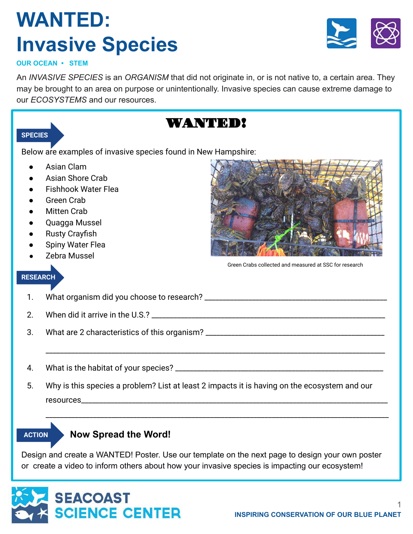#### **INSPIRING CONSERVATION OF OUR BLUE PLANET**  1

#### **ACTION**

#### **Now Spread the Word!**

**NCE CENTER** 

**SEACOAST** 

Design and create a WANTED! Poster. Use our template on the next page to design your own poster or create a video to inform others about how your invasive species is impacting our ecosystem!



#### **OUR OCEAN • STEM**

An *INVASIVE SPECIES* is an *ORGANISM* that did not originate in, or is not native to, a certain area. They may be brought to an area on purpose or unintentionally. Invasive species can cause extreme damage to our *ECOSYSTEMS* and our resources.

# WANTED! Below are examples of invasive species found in New Hampshire: **Asian Clam** Asian Shore Crab **Fishhook Water Flea Green Crab Mitten Crab** Quagga Mussel **Rusty Crayfish** Spiny Water Flea Zebra Mussel 1. What organism did you choose to research? \_\_\_\_\_\_\_\_\_\_\_\_\_\_\_\_\_\_\_\_\_\_\_\_\_\_\_\_\_\_\_\_\_\_\_ 2. When did it arrive in the U.S.? 3. What are 2 characteristics of this organism? \_\_\_\_\_\_\_\_\_\_\_\_\_\_\_\_\_\_\_\_\_\_\_\_\_\_\_\_\_\_\_\_\_\_\_\_\_\_\_\_\_\_\_\_\_\_\_\_\_ \_\_\_\_\_\_\_\_\_\_\_\_\_\_\_\_\_\_\_\_\_\_\_\_\_\_\_\_\_\_\_\_\_\_\_\_\_\_\_\_\_\_\_\_\_\_\_\_\_\_\_\_\_\_\_\_\_\_\_\_\_\_\_\_\_\_\_\_\_\_\_\_\_\_\_\_\_\_\_\_\_\_\_\_\_\_\_\_\_\_\_\_\_ 4. What is the habitat of your species? \_\_\_\_\_\_\_\_\_\_\_\_\_\_\_\_\_\_\_\_\_\_\_\_\_\_\_\_\_\_\_\_\_\_\_\_\_\_\_\_\_\_\_\_\_\_\_\_\_\_\_\_\_\_\_\_\_ 5. Why is this species a problem? List at least 2 impacts it is having on the ecosystem and our resources\_\_\_\_\_\_\_\_\_\_\_\_\_\_\_\_\_\_\_\_\_\_\_\_\_\_\_\_\_\_\_\_\_\_\_\_\_\_\_\_\_\_\_\_\_\_\_\_\_\_\_\_\_\_\_\_\_\_\_\_\_\_\_\_\_\_\_\_\_\_\_\_\_\_\_\_\_\_\_\_\_\_\_\_ \_\_\_\_\_\_\_\_\_\_\_\_\_\_\_\_\_\_\_\_\_\_\_\_\_\_\_\_\_\_\_\_\_\_\_\_\_\_\_\_\_\_\_\_\_\_\_\_\_\_\_\_\_\_\_\_\_\_\_\_\_\_\_\_\_\_\_\_\_\_\_\_\_\_\_\_\_\_\_\_\_\_\_\_\_\_\_\_\_\_\_\_\_\_ **RESEARCH SPECIES** Green Crabs collected and measured at SSC for research